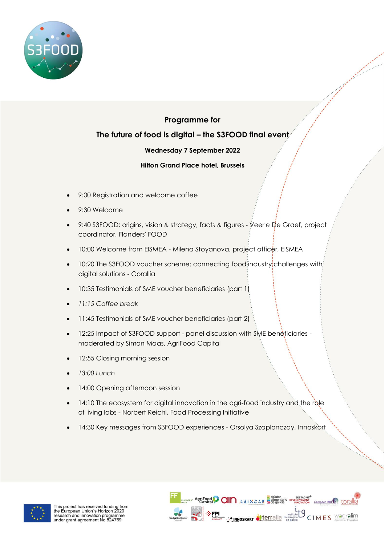

## **Programme for**

## **The future of food is digital – the S3FOOD final event**

## **Wednesday 7 September 2022**

## **Hilton Grand Place hotel, Brussels**

- 9:00 Registration and welcome coffee
- 9:30 Welcome
- 9:40 S3FOOD: origins, vision & strategy, facts & figures Veerle De Graef, project coordinator, Flanders' FOOD
- 10:00 Welcome from EISMEA Milena Stoyanova, project officer, EISMEA
- 10:20 The S3FOOD voucher scheme: connecting food industry challenges with digital solutions - Corallia
- 10:35 Testimonials of SME voucher beneficiaries (part 1)
- *11:15 Coffee break*
- 11:45 Testimonials of SME voucher beneficiaries (part 2)
- 12:25 Impact of S3FOOD support panel discussion with SME beneficiaries moderated by Simon Maas, AgriFood Capital
- 12:55 Closing morning session
- *13:00 Lunch*
- 14:00 Opening afternoon session
- 14:10 The ecosystem for digital innovation in the agri-food industry and the role of living labs - Norbert Reichl, Food Processing Initiative
- 14:30 Key messages from S3FOOD experiences Orsolya Szaplonczay, Innoskart